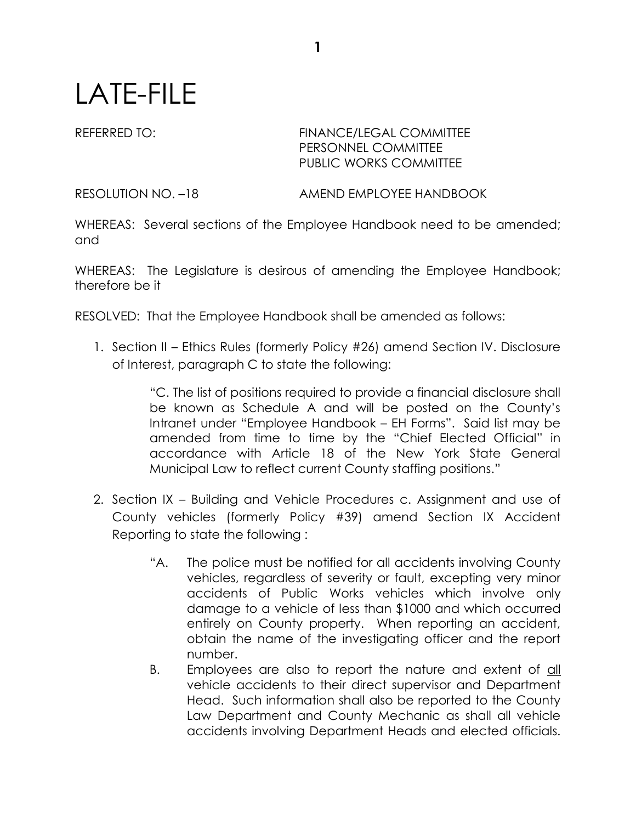## LATE-FILE

## REFERRED TO: FINANCE/LEGAL COMMITTEE PERSONNEL COMMITTEE PUBLIC WORKS COMMITTEE

RESOLUTION NO. –18 AMEND EMPLOYEE HANDBOOK

WHEREAS: Several sections of the Employee Handbook need to be amended; and

WHEREAS: The Legislature is desirous of amending the Employee Handbook; therefore be it

RESOLVED: That the Employee Handbook shall be amended as follows:

1. Section II – Ethics Rules (formerly Policy #26) amend Section IV. Disclosure of Interest, paragraph C to state the following:

> "C. The list of positions required to provide a financial disclosure shall be known as Schedule A and will be posted on the County's Intranet under "Employee Handbook – EH Forms". Said list may be amended from time to time by the "Chief Elected Official" in accordance with Article 18 of the New York State General Municipal Law to reflect current County staffing positions."

- 2. Section IX Building and Vehicle Procedures c. Assignment and use of County vehicles (formerly Policy #39) amend Section IX Accident Reporting to state the following :
	- "A. The police must be notified for all accidents involving County vehicles, regardless of severity or fault, excepting very minor accidents of Public Works vehicles which involve only damage to a vehicle of less than \$1000 and which occurred entirely on County property. When reporting an accident, obtain the name of the investigating officer and the report number.
	- B. Employees are also to report the nature and extent of all vehicle accidents to their direct supervisor and Department Head. Such information shall also be reported to the County Law Department and County Mechanic as shall all vehicle accidents involving Department Heads and elected officials.